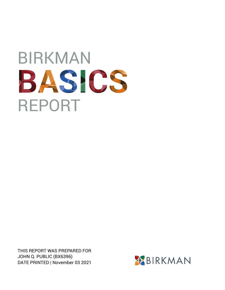## BIRKMAN BASICS REPORT

THIS REPORT WAS PREPARED FOR JOHN Q. PUBLIC (BX6396) DATE PRINTED | November 03 2021

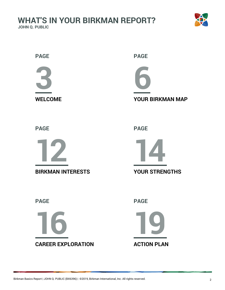

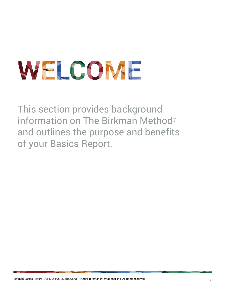# <span id="page-2-0"></span>WELCOME

This section provides background information on The Birkman Method® and outlines the purpose and benefits of your Basics Report.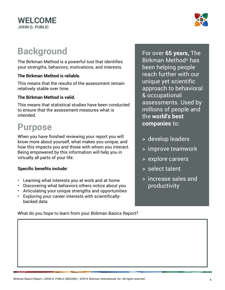

## **Background**

The Birkman Method is a powerful tool that identifies your strengths, behaviors, motivations, and interests.

#### **The Birkman Method is reliable.**

This means that the results of the assessment remain relatively stable over time.

#### **The Birkman Method is valid.**

This means that statistical studies have been conducted to ensure that the assessment measures what is intended.

## **Purpose**

When you have finished reviewing your report you will know more about yourself, what makes you unique, and how this impacts you and those with whom you interact. Being empowered by this information will help you in virtually all parts of your life.

#### **Specific benefits include:**

- Learning what interests you at work and at home
- Discovering what behaviors others notice about you
- Articulating your unique strengths and opportunities
- Exploring your career interests with scientificallybacked data

What do you hope to learn from your Birkman Basics Report?

For over **65 years,** The Birkman Method® has been helping people reach further with our unique yet scientific approach to behavioral & occupational assessments. Used by millions of people and the **world's best companies** to:

- > develop leaders
- > improve teamwork
- > explore careers
- > select talent
- > increase sales and productivity

Birkman Basics Report | JOHN Q. PUBLIC (BX6396) | ©2019, Birkman International, Inc. All rights reserved. 4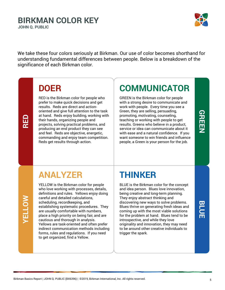#### **BIRKMAN COLOR KEY JOHN Q. PUBLIC**



We take these four colors seriously at Birkman. Our use of color becomes shorthand for understanding fundamental differences between people. Below is a breakdown of the significance of each Birkman color.

## **DOER**

**RED**

**YELLOW**

RED is the Birkman color for people who prefer to make quick decisions and get results. Reds are direct and actionoriented and give full attention to the task at hand. Reds enjoy building, working with their hands, organizing people and projects, solving practical problems, and producing an end product they can see and feel. Reds are objective, energetic, commanding and enjoy team competition. Reds get results through action.

## **COMMUNICATOR**

GREEN is the Birkman color for people with a strong desire to communicate and work with people. Every time you see a Green, they are selling, persuading, promoting, motivating, counseling, teaching or working with people to get results. Greens who believe in a product, service or idea can communicate about it with ease and a natural confidence. If you want someone to win friends and influence people, a Green is your person for the job.

## **GREEN**

## **ANALYZER**

YELLOW is the Birkman color for people who love working with processes, details, definitions and rules. Yellows enjoy doing careful and detailed calculations, scheduling, recordkeeping, and establishing systematic procedures. They are usually comfortable with numbers, place a high priority on being fair, and are cautious and thorough in analysis. Yellows are task-oriented and often prefer indirect communication methods including forms, rules and regulations. If you need to get organized, find a Yellow.

## **THINKER**

BLUE is the Birkman color for the concept and idea person. Blues love innovation, being creative and long-term planning. They enjoy abstract thinking and discovering new ways to solve problems. Blues thrive on generating fresh ideas and coming up with the most viable solutions for the problem at hand. Blues tend to be introspective, and while they love originality and innovation, they may need to be around other creative individuals to trigger the spark.

## **BLUE**

Birkman Basics Report | JOHN Q. PUBLIC (BX6396) | ©2019, Birkman International, Inc. All rights reserved. 5 5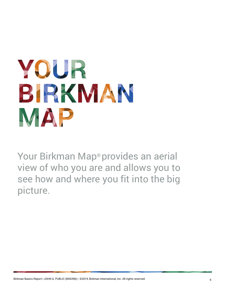## <span id="page-5-0"></span>YOUR BIRKMAN MAP

Your Birkman Map® provides an aerial view of who you are and allows you to see how and where you fit into the big picture.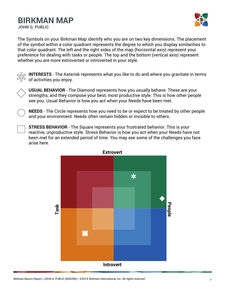### **BIRKMAN MAP**

**JOHN Q. PUBLIC**



The Symbols on your Birkman Map identify who you are on two key dimensions. The placement of the symbol within a color quadrant represents the degree to which you display similarities to that color quadrant. The left and the right sides of the map (horizontal axis) represent your preference for dealing with tasks or people. The top and the bottom (vertical axis) represent whether you are more extroverted or introverted in your style.



**INTERESTS** - The Asterisk represents what you like to do and where you gravitate in terms of activities you enjoy.



**USUAL BEHAVIOR** - The Diamond represents how you usually behave. These are your strengths, and they compose your best, most productive style. This is how other people see you. Usual Behavior is how you act when your Needs have been met.

**NEEDS** - The Circle represents how you need to be or expect to be treated by other people and your environment. Needs often remain hidden or invisible to others.

**STRESS BEHAVIOR** - The Square represents your frustrated behavior. This is your reactive, unproductive style. Stress Behavior is how you act when your Needs have not been met for an extended period of time. You may see some of the challenges you face arise here.

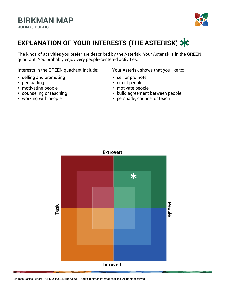

### **EXPLANATION OF YOUR INTERESTS (THE ASTERISK)**

The kinds of activities you prefer are described by the Asterisk. Your Asterisk is in the GREEN quadrant. You probably enjoy very people-centered activities.

Interests in the GREEN quadrant include: Your Asterisk shows that you like to:

- **•** selling and promoting
- **•** persuading
- **•** motivating people
- **•** counseling or teaching
- **•** working with people

- **•** sell or promote
- **•** direct people
- **•** motivate people
- **•** build agreement between people
- **•** persuade, counsel or teach

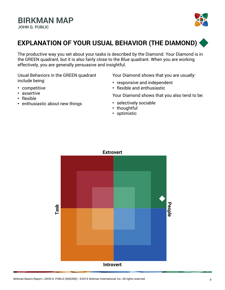

### **EXPLANATION OF YOUR USUAL BEHAVIOR (THE DIAMOND)**

The productive way you set about your tasks is described by the Diamond. Your Diamond is in the GREEN quadrant, but it is also fairly close to the Blue quadrant. When you are working effectively, you are generally persuasive and insightful.

Usual Behaviors in the GREEN quadrant include being:

- **•** competitive
- **•** assertive
- **•** flexible
- **•** enthusiastic about new things

Your Diamond shows that you are usually:

- **•** responsive and independent
- **•** flexible and enthusiastic

Your Diamond shows that you also tend to be:

- **•** selectively sociable
- **•** thoughtful
- **•** optimistic

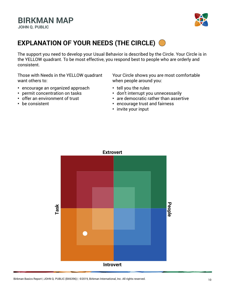

### **EXPLANATION OF YOUR NEEDS (THE CIRCLE)**

The support you need to develop your Usual Behavior is described by the Circle. Your Circle is in the YELLOW quadrant. To be most effective, you respond best to people who are orderly and consistent.

Those with Needs in the YELLOW quadrant want others to:

- **•** encourage an organized approach
- **•** permit concentration on tasks
- **•** offer an environment of trust
- **•** be consistent

Your Circle shows you are most comfortable when people around you:

- **•** tell you the rules
- **•** don't interrupt you unnecessarily
- **•** are democratic rather than assertive
- **•** encourage trust and fairness
- **•** invite your input

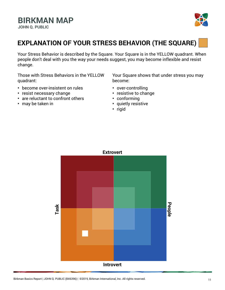

### **EXPLANATION OF YOUR STRESS BEHAVIOR (THE SQUARE)**

Your Stress Behavior is described by the Square. Your Square is in the YELLOW quadrant. When people don't deal with you the way your needs suggest, you may become inflexible and resist change.

Those with Stress Behaviors in the YELLOW quadrant:

- **•** become over-insistent on rules
- **•** resist necessary change
- **•** are reluctant to confront others
- **•** may be taken in

Your Square shows that under stress you may become:

- **•** over-controlling
- **•** resistive to change
- **•** conforming
- **•** quietly resistive
- **•** rigid

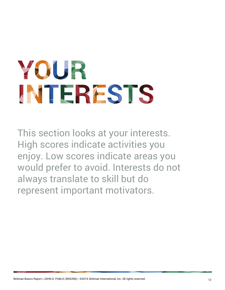## <span id="page-11-0"></span>YOUR INTERESTS

This section looks at your interests. High scores indicate activities you enjoy. Low scores indicate areas you would prefer to avoid. Interests do not always translate to skill but do represent important motivators.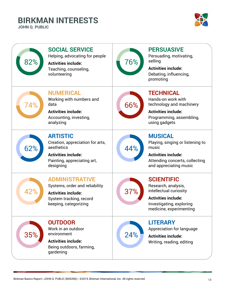## **BIRKMAN INTERESTS**

**JOHN Q. PUBLIC**



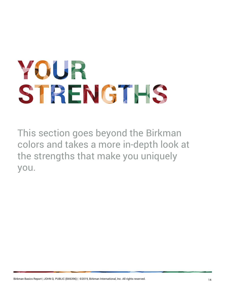# <span id="page-13-0"></span>YOUR STRENGTHS

This section goes beyond the Birkman colors and takes a more in-depth look at the strengths that make you uniquely you.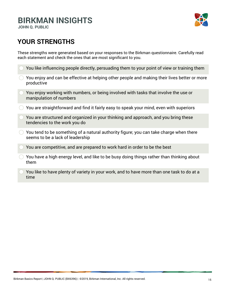## **BIRKMAN INSIGHTS**

**JOHN Q. PUBLIC**



#### **YOUR STRENGTHS**

These strengths were generated based on your responses to the Birkman questionnaire. Carefully read each statement and check the ones that are most significant to you.

- You like influencing people directly, persuading them to your point of view or training them
- You enjoy and can be effective at helping other people and making their lives better or more productive
- You enjoy working with numbers, or being involved with tasks that involve the use or manipulation of numbers
- $\bigcirc$  You are straightforward and find it fairly easy to speak your mind, even with superiors
- You are structured and organized in your thinking and approach, and you bring these tendencies to the work you do
- $\bigcirc$  You tend to be something of a natural authority figure; you can take charge when there seems to be a lack of leadership
- You are competitive, and are prepared to work hard in order to be the best
- $\bigcirc$  You have a high energy level, and like to be busy doing things rather than thinking about them
- You like to have plenty of variety in your work, and to have more than one task to do at a time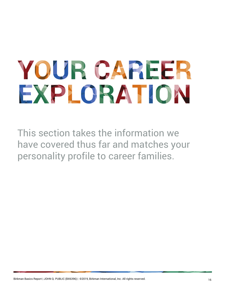# <span id="page-15-0"></span>YOUR CAREER EXPLORATION

This section takes the information we have covered thus far and matches your personality profile to career families.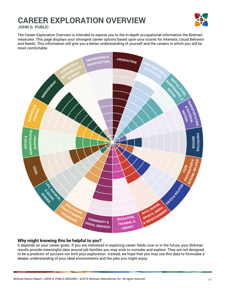## **CAREER EXPLORATION OVERVIEW**



**JOHN Q. PUBLIC**

The Career Exploration Overview is intended to expose you to the in-depth occupational information the Birkman measures. This page displays your strongest career options based upon your scores for Interests, Usual Behavior and Needs. This information will give you a better understanding of yourself and the careers in which you will be most comfortable.



#### **Why might knowing this be helpful to you?**

It depends on your career goals. If you are interested in exploring career fields, now or in the future, your Birkman results provide meaningful data around job families you may wish to consider and explore. They are not designed to be a predictor of success nor limit your exploration. Instead, we hope that you may use this data to formulate a deeper understanding of your ideal environments and the jobs you might enjoy.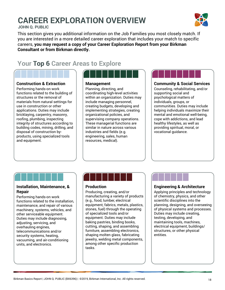## **CAREER EXPLORATION OVERVIEW**

**JOHN Q. PUBLIC**

This section gives you additional information on the Job Families you most closely match. If you are interested in a more detailed career exploration that includes your match to specific careers, **you may request a copy of your Career Exploration Report from your Birkman Consultant or from Birkman directly.**

#### **Your Top 6 Career Areas to Explore**

#### **Construction & Extraction**

Performing hands-on work functions related to the building of structures or the removal of materials from natural settings for use in construction or other applications. Duties may include bricklaying, carpentry, masonry, roofing, plumbing, inspecting integrity of structures according to building codes, mining, drilling, and disposal of construction byproducts, using specialized tools and equipment.



#### **Management**

Planning, directing, and coordinating high-level activities within an organization. Duties may include managing personnel, creating budgets, developing and implementing strategies, creating organizational policies, and supervising company operations. These managerial functions are similar in nature across various industries and fields (e.g. engineering, sales, human resources, medical).



#### **Community & Social Services**

Counseling, rehabilitating, and/or supporting social and psychological matters of individuals, groups, or communities. Duties may include helping individuals maximize their mental and emotional well-being, cope with addictions, and lead healthy lifestyles, as well as providing spiritual, moral, or vocational guidance.

#### **Installation, Maintenance, & Repair**

Performing hands-on work functions related to the installation, maintenance, and repair of various machinery, systems, vehicles, and other serviceable equipment. Duties may include diagnosing, adjusting, servicing, and overhauling engines, telecommunications and/or security systems, heating, vacuuming, and air-conditioning units, and electronics.



#### **Production**

Producing, creating, and/or manufacturing a variety of products (e.g., food, lumber, electrical equipment, fabrics, metals, plastics, stones, fuel) through the operating of specialized tools and/or equipment. Duties may include baking pastries, binding books, cutting, shaping, and assembling furniture, assembling electronics, shaping molten glass, fabricating jewelry, welding metal components, among other specific production tasks.

#### **Engineering & Architecture**

Applying principles and technology of chemistry, physics, and other scientific disciplines into the planning, designing, and overseeing of physical systems and processes. Duties may include creating, testing, developing, and maintaining tools, machines, electrical equipment, buildings/ structures, or other physical entities.

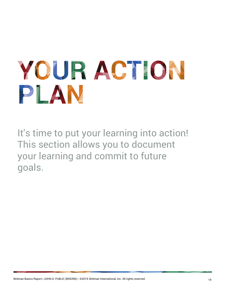# <span id="page-18-0"></span>YOUR ACTION PLAN

It's time to put your learning into action! This section allows you to document your learning and commit to future goals.